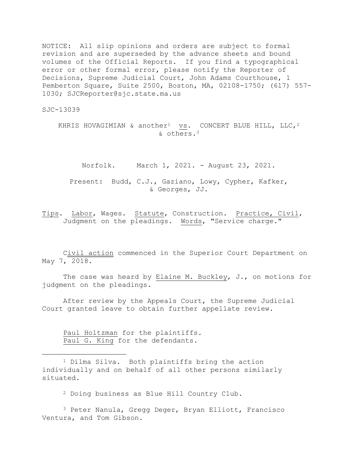NOTICE: All slip opinions and orders are subject to formal revision and are superseded by the advance sheets and bound volumes of the Official Reports. If you find a typographical error or other formal error, please notify the Reporter of Decisions, Supreme Judicial Court, John Adams Courthouse, 1 Pemberton Square, Suite 2500, Boston, MA, 02108-1750; (617) 557- 1030; SJCReporter@sjc.state.ma.us

SJC-13039

KHRIS HOVAGIMIAN & another<sup>1</sup> vs. CONCERT BLUE HILL, LLC, <sup>2</sup> & others.<sup>3</sup>

Norfolk. March 1, 2021. - August 23, 2021.

Present: Budd, C.J., Gaziano, Lowy, Cypher, Kafker, & Georges, JJ.

Tips. Labor, Wages. Statute, Construction. Practice, Civil, Judgment on the pleadings. Words, "Service charge."

Civil action commenced in the Superior Court Department on May 7, 2018.

The case was heard by Elaine M. Buckley, J., on motions for judgment on the pleadings.

After review by the Appeals Court, the Supreme Judicial Court granted leave to obtain further appellate review.

Paul Holtzman for the plaintiffs. Paul G. King for the defendants.

<sup>2</sup> Doing business as Blue Hill Country Club.

<sup>3</sup> Peter Nanula, Gregg Deger, Bryan Elliott, Francisco Ventura, and Tom Gibson.

<sup>1</sup> Dilma Silva. Both plaintiffs bring the action individually and on behalf of all other persons similarly situated.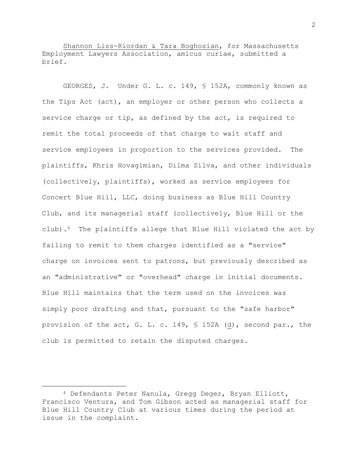Shannon Liss-Riordan & Tara Boghosian, for Massachusetts Employment Lawyers Association, amicus curiae, submitted a brief.

GEORGES, J. Under G. L. c. 149, § 152A, commonly known as the Tips Act (act), an employer or other person who collects a service charge or tip, as defined by the act, is required to remit the total proceeds of that charge to wait staff and service employees in proportion to the services provided. The plaintiffs, Khris Hovagimian, Dilma Silva, and other individuals (collectively, plaintiffs), worked as service employees for Concert Blue Hill, LLC, doing business as Blue Hill Country Club, and its managerial staff (collectively, Blue Hill or the club).<sup>4</sup> The plaintiffs allege that Blue Hill violated the act by failing to remit to them charges identified as a "service" charge on invoices sent to patrons, but previously described as an "administrative" or "overhead" charge in initial documents. Blue Hill maintains that the term used on the invoices was simply poor drafting and that, pursuant to the "safe harbor" provision of the act, G. L. c. 149, § 152A (d), second par., the club is permitted to retain the disputed charges.

2

<sup>4</sup> Defendants Peter Nanula, Gregg Deger, Bryan Elliott, Francisco Ventura, and Tom Gibson acted as managerial staff for Blue Hill Country Club at various times during the period at issue in the complaint.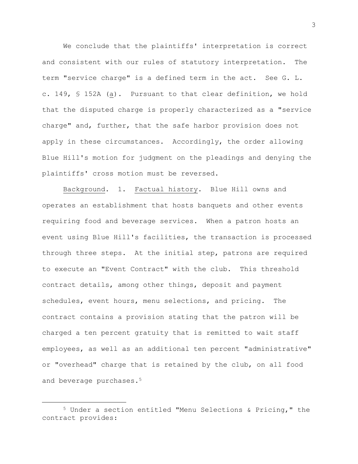We conclude that the plaintiffs' interpretation is correct and consistent with our rules of statutory interpretation. The term "service charge" is a defined term in the act. See G. L. c. 149, § 152A (a). Pursuant to that clear definition, we hold that the disputed charge is properly characterized as a "service charge" and, further, that the safe harbor provision does not apply in these circumstances. Accordingly, the order allowing Blue Hill's motion for judgment on the pleadings and denying the plaintiffs' cross motion must be reversed.

Background. 1. Factual history. Blue Hill owns and operates an establishment that hosts banquets and other events requiring food and beverage services. When a patron hosts an event using Blue Hill's facilities, the transaction is processed through three steps. At the initial step, patrons are required to execute an "Event Contract" with the club. This threshold contract details, among other things, deposit and payment schedules, event hours, menu selections, and pricing. The contract contains a provision stating that the patron will be charged a ten percent gratuity that is remitted to wait staff employees, as well as an additional ten percent "administrative" or "overhead" charge that is retained by the club, on all food and beverage purchases.<sup>5</sup>

<sup>5</sup> Under a section entitled "Menu Selections & Pricing," the contract provides: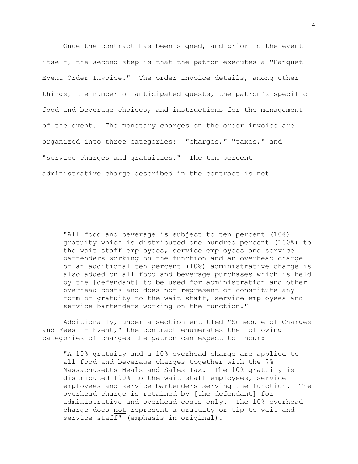Once the contract has been signed, and prior to the event itself, the second step is that the patron executes a "Banquet Event Order Invoice." The order invoice details, among other things, the number of anticipated guests, the patron's specific food and beverage choices, and instructions for the management of the event. The monetary charges on the order invoice are organized into three categories: "charges," "taxes," and "service charges and gratuities." The ten percent administrative charge described in the contract is not

Additionally, under a section entitled "Schedule of Charges and Fees –- Event," the contract enumerates the following categories of charges the patron can expect to incur:

"A 10% gratuity and a 10% overhead charge are applied to all food and beverage charges together with the 7% Massachusetts Meals and Sales Tax. The 10% gratuity is distributed 100% to the wait staff employees, service employees and service bartenders serving the function. The overhead charge is retained by [the defendant] for administrative and overhead costs only. The 10% overhead charge does not represent a gratuity or tip to wait and service staff" (emphasis in original).

<sup>&</sup>quot;All food and beverage is subject to ten percent (10%) gratuity which is distributed one hundred percent (100%) to the wait staff employees, service employees and service bartenders working on the function and an overhead charge of an additional ten percent (10%) administrative charge is also added on all food and beverage purchases which is held by the [defendant] to be used for administration and other overhead costs and does not represent or constitute any form of gratuity to the wait staff, service employees and service bartenders working on the function."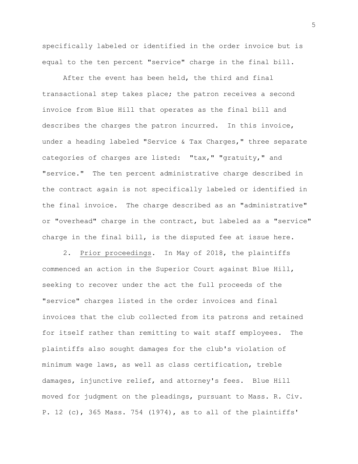specifically labeled or identified in the order invoice but is equal to the ten percent "service" charge in the final bill.

After the event has been held, the third and final transactional step takes place; the patron receives a second invoice from Blue Hill that operates as the final bill and describes the charges the patron incurred. In this invoice, under a heading labeled "Service & Tax Charges," three separate categories of charges are listed: "tax," "gratuity," and "service." The ten percent administrative charge described in the contract again is not specifically labeled or identified in the final invoice. The charge described as an "administrative" or "overhead" charge in the contract, but labeled as a "service" charge in the final bill, is the disputed fee at issue here.

2. Prior proceedings. In May of 2018, the plaintiffs commenced an action in the Superior Court against Blue Hill, seeking to recover under the act the full proceeds of the "service" charges listed in the order invoices and final invoices that the club collected from its patrons and retained for itself rather than remitting to wait staff employees. The plaintiffs also sought damages for the club's violation of minimum wage laws, as well as class certification, treble damages, injunctive relief, and attorney's fees. Blue Hill moved for judgment on the pleadings, pursuant to Mass. R. Civ. P. 12 (c), 365 Mass. 754 (1974), as to all of the plaintiffs'

5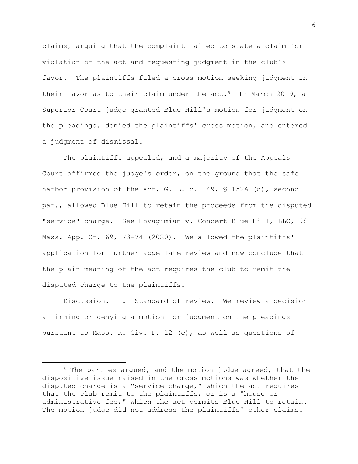claims, arguing that the complaint failed to state a claim for violation of the act and requesting judgment in the club's favor. The plaintiffs filed a cross motion seeking judgment in their favor as to their claim under the act.<sup>6</sup> In March 2019, a Superior Court judge granted Blue Hill's motion for judgment on the pleadings, denied the plaintiffs' cross motion, and entered a judgment of dismissal.

The plaintiffs appealed, and a majority of the Appeals Court affirmed the judge's order, on the ground that the safe harbor provision of the act, G. L. c. 149, § 152A (d), second par., allowed Blue Hill to retain the proceeds from the disputed "service" charge. See Hovagimian v. Concert Blue Hill, LLC, 98 Mass. App. Ct. 69, 73-74 (2020). We allowed the plaintiffs' application for further appellate review and now conclude that the plain meaning of the act requires the club to remit the disputed charge to the plaintiffs.

Discussion. 1. Standard of review. We review a decision affirming or denying a motion for judgment on the pleadings pursuant to Mass. R. Civ. P. 12 (c), as well as questions of

 $6$  The parties argued, and the motion judge agreed, that the dispositive issue raised in the cross motions was whether the disputed charge is a "service charge," which the act requires that the club remit to the plaintiffs, or is a "house or administrative fee," which the act permits Blue Hill to retain. The motion judge did not address the plaintiffs' other claims.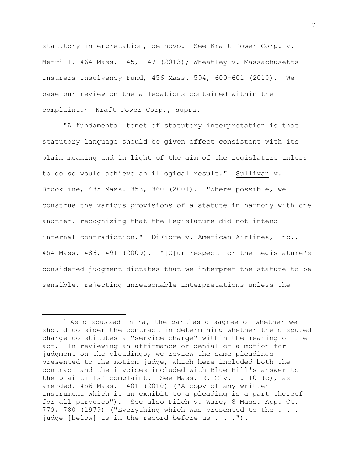statutory interpretation, de novo. See Kraft Power Corp. v. Merrill, 464 Mass. 145, 147 (2013); Wheatley v. Massachusetts Insurers Insolvency Fund, 456 Mass. 594, 600-601 (2010). We base our review on the allegations contained within the complaint.<sup>7</sup> Kraft Power Corp., supra.

"A fundamental tenet of statutory interpretation is that statutory language should be given effect consistent with its plain meaning and in light of the aim of the Legislature unless to do so would achieve an illogical result." Sullivan v. Brookline, 435 Mass. 353, 360 (2001). "Where possible, we construe the various provisions of a statute in harmony with one another, recognizing that the Legislature did not intend internal contradiction." DiFiore v. American Airlines, Inc., 454 Mass. 486, 491 (2009). "[O]ur respect for the Legislature's considered judgment dictates that we interpret the statute to be sensible, rejecting unreasonable interpretations unless the

<sup>7</sup> As discussed infra, the parties disagree on whether we should consider the contract in determining whether the disputed charge constitutes a "service charge" within the meaning of the act. In reviewing an affirmance or denial of a motion for judgment on the pleadings, we review the same pleadings presented to the motion judge, which here included both the contract and the invoices included with Blue Hill's answer to the plaintiffs' complaint. See Mass. R. Civ. P. 10 (c), as amended, 456 Mass. 1401 (2010) ("A copy of any written instrument which is an exhibit to a pleading is a part thereof for all purposes"). See also Pilch v. Ware, 8 Mass. App. Ct. 779, 780 (1979) ("Everything which was presented to the . . . judge [below] is in the record before us . . . ").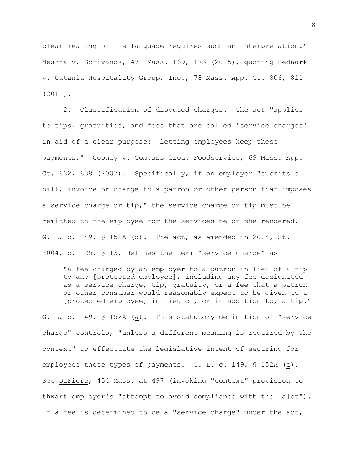clear meaning of the language requires such an interpretation." Meshna v. Scrivanos, 471 Mass. 169, 173 (2015), quoting Bednark v. Catania Hospitality Group, Inc., 78 Mass. App. Ct. 806, 811 (2011).

2. Classification of disputed charges. The act "applies to tips, gratuities, and fees that are called 'service charges' in aid of a clear purpose: letting employees keep these payments." Cooney v. Compass Group Foodservice, 69 Mass. App. Ct. 632, 638 (2007). Specifically, if an employer "submits a bill, invoice or charge to a patron or other person that imposes a service charge or tip," the service charge or tip must be remitted to the employee for the services he or she rendered. G. L. c. 149, § 152A (d). The act, as amended in 2004, St. 2004, c. 125, § 13, defines the term "service charge" as

"a fee charged by an employer to a patron in lieu of a tip to any [protected employee], including any fee designated as a service charge, tip, gratuity, or a fee that a patron or other consumer would reasonably expect to be given to a [protected employee] in lieu of, or in addition to, a tip."

G. L. c. 149, § 152A (a). This statutory definition of "service charge" controls, "unless a different meaning is required by the context" to effectuate the legislative intent of securing for employees these types of payments. G. L. c. 149, § 152A (a). See DiFiore, 454 Mass. at 497 (invoking "context" provision to thwart employer's "attempt to avoid compliance with the [a]ct"). If a fee is determined to be a "service charge" under the act,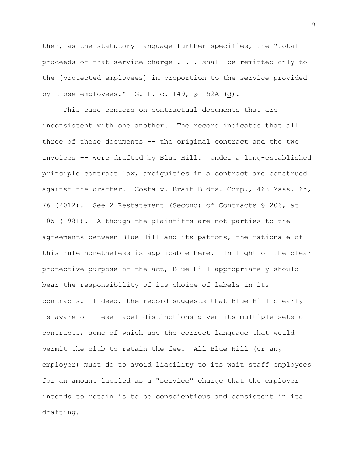then, as the statutory language further specifies, the "total proceeds of that service charge . . . shall be remitted only to the [protected employees] in proportion to the service provided by those employees." G. L. c. 149, § 152A (d).

This case centers on contractual documents that are inconsistent with one another. The record indicates that all three of these documents –- the original contract and the two invoices –- were drafted by Blue Hill. Under a long-established principle contract law, ambiguities in a contract are construed against the drafter. Costa v. Brait Bldrs. Corp., 463 Mass. 65, 76 (2012). See 2 Restatement (Second) of Contracts § 206, at 105 (1981). Although the plaintiffs are not parties to the agreements between Blue Hill and its patrons, the rationale of this rule nonetheless is applicable here. In light of the clear protective purpose of the act, Blue Hill appropriately should bear the responsibility of its choice of labels in its contracts. Indeed, the record suggests that Blue Hill clearly is aware of these label distinctions given its multiple sets of contracts, some of which use the correct language that would permit the club to retain the fee. All Blue Hill (or any employer) must do to avoid liability to its wait staff employees for an amount labeled as a "service" charge that the employer intends to retain is to be conscientious and consistent in its drafting.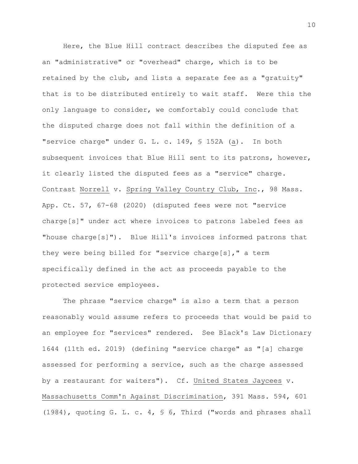Here, the Blue Hill contract describes the disputed fee as an "administrative" or "overhead" charge, which is to be retained by the club, and lists a separate fee as a "gratuity" that is to be distributed entirely to wait staff. Were this the only language to consider, we comfortably could conclude that the disputed charge does not fall within the definition of a "service charge" under G. L. c. 149, § 152A (a). In both subsequent invoices that Blue Hill sent to its patrons, however, it clearly listed the disputed fees as a "service" charge. Contrast Norrell v. Spring Valley Country Club, Inc., 98 Mass. App. Ct. 57, 67-68 (2020) (disputed fees were not "service charge[s]" under act where invoices to patrons labeled fees as "house charge[s]"). Blue Hill's invoices informed patrons that they were being billed for "service charge[s]," a term specifically defined in the act as proceeds payable to the protected service employees.

The phrase "service charge" is also a term that a person reasonably would assume refers to proceeds that would be paid to an employee for "services" rendered. See Black's Law Dictionary 1644 (11th ed. 2019) (defining "service charge" as "[a] charge assessed for performing a service, such as the charge assessed by a restaurant for waiters"). Cf. United States Jaycees v. Massachusetts Comm'n Against Discrimination, 391 Mass. 594, 601 (1984), quoting G. L. c. 4, § 6, Third ("words and phrases shall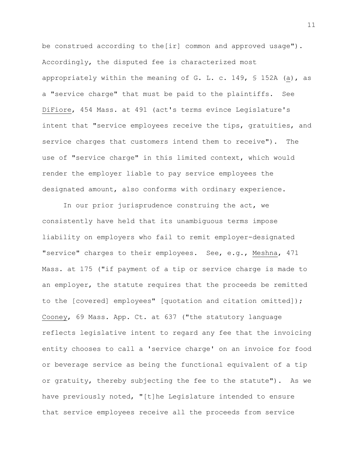be construed according to the[ir] common and approved usage"). Accordingly, the disputed fee is characterized most appropriately within the meaning of G. L. c. 149, § 152A (a), as a "service charge" that must be paid to the plaintiffs. See DiFiore, 454 Mass. at 491 (act's terms evince Legislature's intent that "service employees receive the tips, gratuities, and service charges that customers intend them to receive"). The use of "service charge" in this limited context, which would render the employer liable to pay service employees the designated amount, also conforms with ordinary experience.

In our prior jurisprudence construing the act, we consistently have held that its unambiguous terms impose liability on employers who fail to remit employer-designated "service" charges to their employees. See, e.g., Meshna, 471 Mass. at 175 ("if payment of a tip or service charge is made to an employer, the statute requires that the proceeds be remitted to the [covered] employees" [quotation and citation omitted]); Cooney, 69 Mass. App. Ct. at 637 ("the statutory language reflects legislative intent to regard any fee that the invoicing entity chooses to call a 'service charge' on an invoice for food or beverage service as being the functional equivalent of a tip or gratuity, thereby subjecting the fee to the statute"). As we have previously noted, "[t]he Legislature intended to ensure that service employees receive all the proceeds from service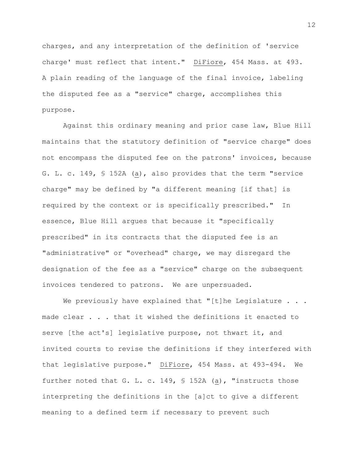charges, and any interpretation of the definition of 'service charge' must reflect that intent." DiFiore, 454 Mass. at 493. A plain reading of the language of the final invoice, labeling the disputed fee as a "service" charge, accomplishes this purpose.

Against this ordinary meaning and prior case law, Blue Hill maintains that the statutory definition of "service charge" does not encompass the disputed fee on the patrons' invoices, because G. L. c. 149, § 152A (a), also provides that the term "service charge" may be defined by "a different meaning [if that] is required by the context or is specifically prescribed." In essence, Blue Hill argues that because it "specifically prescribed" in its contracts that the disputed fee is an "administrative" or "overhead" charge, we may disregard the designation of the fee as a "service" charge on the subsequent invoices tendered to patrons. We are unpersuaded.

We previously have explained that "[t]he Legislature . . . made clear . . . that it wished the definitions it enacted to serve [the act's] legislative purpose, not thwart it, and invited courts to revise the definitions if they interfered with that legislative purpose." DiFiore, 454 Mass. at 493-494. We further noted that G. L. c. 149, § 152A (a), "instructs those interpreting the definitions in the [a]ct to give a different meaning to a defined term if necessary to prevent such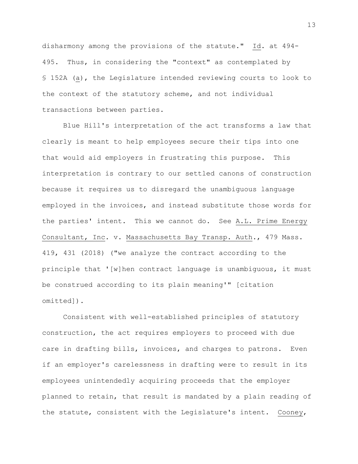disharmony among the provisions of the statute." Id. at 494- 495. Thus, in considering the "context" as contemplated by § 152A (a), the Legislature intended reviewing courts to look to the context of the statutory scheme, and not individual transactions between parties.

Blue Hill's interpretation of the act transforms a law that clearly is meant to help employees secure their tips into one that would aid employers in frustrating this purpose. This interpretation is contrary to our settled canons of construction because it requires us to disregard the unambiguous language employed in the invoices, and instead substitute those words for the parties' intent. This we cannot do. See A.L. Prime Energy Consultant, Inc. v. Massachusetts Bay Transp. Auth., 479 Mass. 419, 431 (2018) ("we analyze the contract according to the principle that '[w]hen contract language is unambiguous, it must be construed according to its plain meaning'" [citation omitted]).

Consistent with well-established principles of statutory construction, the act requires employers to proceed with due care in drafting bills, invoices, and charges to patrons. Even if an employer's carelessness in drafting were to result in its employees unintendedly acquiring proceeds that the employer planned to retain, that result is mandated by a plain reading of the statute, consistent with the Legislature's intent. Cooney,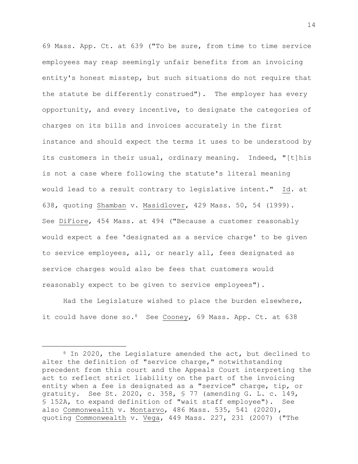69 Mass. App. Ct. at 639 ("To be sure, from time to time service employees may reap seemingly unfair benefits from an invoicing entity's honest misstep, but such situations do not require that the statute be differently construed"). The employer has every opportunity, and every incentive, to designate the categories of charges on its bills and invoices accurately in the first instance and should expect the terms it uses to be understood by its customers in their usual, ordinary meaning. Indeed, "[t]his is not a case where following the statute's literal meaning would lead to a result contrary to legislative intent." Id. at 638, quoting Shamban v. Masidlover, 429 Mass. 50, 54 (1999). See DiFiore, 454 Mass. at 494 ("Because a customer reasonably would expect a fee 'designated as a service charge' to be given to service employees, all, or nearly all, fees designated as service charges would also be fees that customers would reasonably expect to be given to service employees").

Had the Legislature wished to place the burden elsewhere, it could have done so. <sup>8</sup> See Cooney, 69 Mass. App. Ct. at 638

<sup>8</sup> In 2020, the Legislature amended the act, but declined to alter the definition of "service charge," notwithstanding precedent from this court and the Appeals Court interpreting the act to reflect strict liability on the part of the invoicing entity when a fee is designated as a "service" charge, tip, or gratuity. See St. 2020, c. 358, § 77 (amending G. L. c. 149, § 152A, to expand definition of "wait staff employee"). See also Commonwealth v. Montarvo, 486 Mass. 535, 541 (2020), quoting Commonwealth v. Vega, 449 Mass. 227, 231 (2007) ("The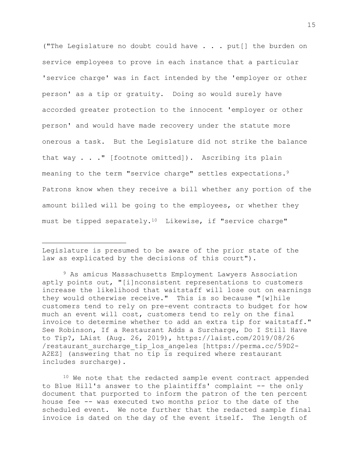("The Legislature no doubt could have . . . put[] the burden on service employees to prove in each instance that a particular 'service charge' was in fact intended by the 'employer or other person' as a tip or gratuity. Doing so would surely have accorded greater protection to the innocent 'employer or other person' and would have made recovery under the statute more onerous a task. But the Legislature did not strike the balance that way . . ." [footnote omitted]). Ascribing its plain meaning to the term "service charge" settles expectations.<sup>9</sup> Patrons know when they receive a bill whether any portion of the amount billed will be going to the employees, or whether they must be tipped separately.10 Likewise, if "service charge"

Legislature is presumed to be aware of the prior state of the law as explicated by the decisions of this court").

<sup>9</sup> As amicus Massachusetts Employment Lawyers Association aptly points out, "[i]nconsistent representations to customers increase the likelihood that waitstaff will lose out on earnings they would otherwise receive." This is so because "[w]hile customers tend to rely on pre-event contracts to budget for how much an event will cost, customers tend to rely on the final invoice to determine whether to add an extra tip for waitstaff." See Robinson, If a Restaurant Adds a Surcharge, Do I Still Have to Tip?, LAist (Aug. 26, 2019), https://laist.com/2019/08/26 /restaurant\_surcharge\_tip\_los\_angeles [https://perma.cc/59D2- A2EZ] (answering that no tip is required where restaurant includes surcharge).

<sup>10</sup> We note that the redacted sample event contract appended to Blue Hill's answer to the plaintiffs' complaint -- the only document that purported to inform the patron of the ten percent house fee -- was executed two months prior to the date of the scheduled event. We note further that the redacted sample final invoice is dated on the day of the event itself. The length of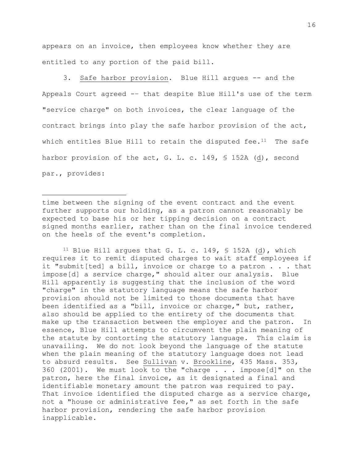appears on an invoice, then employees know whether they are entitled to any portion of the paid bill.

3. Safe harbor provision. Blue Hill argues -- and the Appeals Court agreed -– that despite Blue Hill's use of the term "service charge" on both invoices, the clear language of the contract brings into play the safe harbor provision of the act, which entitles Blue Hill to retain the disputed fee. $11$  The safe harbor provision of the act, G. L. c. 149, § 152A (d), second par., provides:

time between the signing of the event contract and the event further supports our holding, as a patron cannot reasonably be expected to base his or her tipping decision on a contract signed months earlier, rather than on the final invoice tendered on the heels of the event's completion.

<sup>11</sup> Blue Hill argues that G. L. c. 149,  $\frac{152A}{d}$ , which requires it to remit disputed charges to wait staff employees if it "submit[ted] a bill, invoice or charge to a patron . . . that impose[d] a service charge," should alter our analysis. Blue Hill apparently is suggesting that the inclusion of the word "charge" in the statutory language means the safe harbor provision should not be limited to those documents that have been identified as a "bill, invoice or charge," but, rather, also should be applied to the entirety of the documents that make up the transaction between the employer and the patron. In essence, Blue Hill attempts to circumvent the plain meaning of the statute by contorting the statutory language. This claim is unavailing. We do not look beyond the language of the statute when the plain meaning of the statutory language does not lead to absurd results. See Sullivan v. Brookline, 435 Mass. 353, 360 (2001). We must look to the "charge . . . impose[d]" on the patron, here the final invoice, as it designated a final and identifiable monetary amount the patron was required to pay. That invoice identified the disputed charge as a service charge, not a "house or administrative fee," as set forth in the safe harbor provision, rendering the safe harbor provision inapplicable.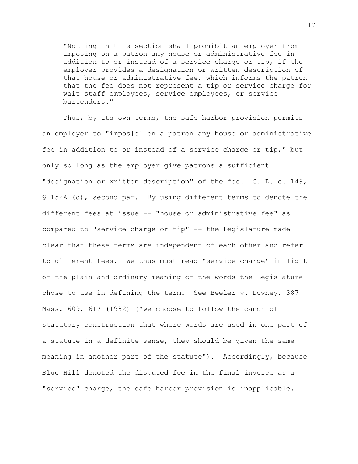"Nothing in this section shall prohibit an employer from imposing on a patron any house or administrative fee in addition to or instead of a service charge or tip, if the employer provides a designation or written description of that house or administrative fee, which informs the patron that the fee does not represent a tip or service charge for wait staff employees, service employees, or service bartenders."

Thus, by its own terms, the safe harbor provision permits an employer to "impos[e] on a patron any house or administrative fee in addition to or instead of a service charge or tip," but only so long as the employer give patrons a sufficient "designation or written description" of the fee. G. L. c. 149, § 152A (d), second par. By using different terms to denote the different fees at issue -- "house or administrative fee" as compared to "service charge or tip" -- the Legislature made clear that these terms are independent of each other and refer to different fees. We thus must read "service charge" in light of the plain and ordinary meaning of the words the Legislature chose to use in defining the term. See Beeler v. Downey, 387 Mass. 609, 617 (1982) ("we choose to follow the canon of statutory construction that where words are used in one part of a statute in a definite sense, they should be given the same meaning in another part of the statute"). Accordingly, because Blue Hill denoted the disputed fee in the final invoice as a "service" charge, the safe harbor provision is inapplicable.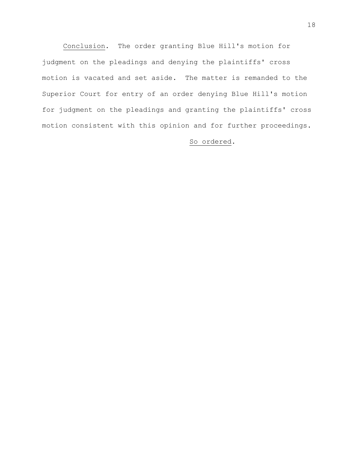Conclusion. The order granting Blue Hill's motion for judgment on the pleadings and denying the plaintiffs' cross motion is vacated and set aside. The matter is remanded to the Superior Court for entry of an order denying Blue Hill's motion for judgment on the pleadings and granting the plaintiffs' cross motion consistent with this opinion and for further proceedings.

So ordered.